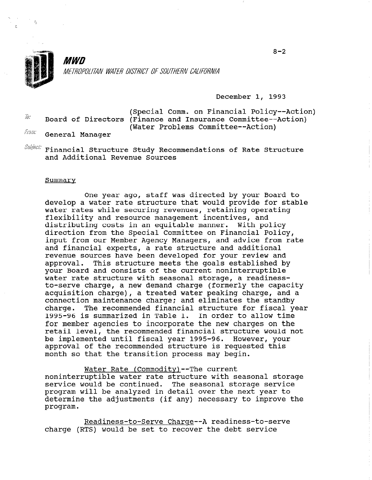

,'.

r.

**MWN** METROPOLITAN WATER DISTRICT OF SOUTHERN CALIFORNIA

December 1, 1993

(Special Comm. on Financial Policy--Action)<br>(Discussed at Pinance and Incurrence Committee Action) Board of Directors (Finance and Insurance Committee--Action)  $f_{797\%}$  (Water Problems Committee--Action)

General Manager

 $\mathit{Sukjell}:$  Financial Structure Study Recommendations of Rate Structure and Maditional Revenue Source

### Summarv

One year ago, staff was directed by your Board to develop a water rate structure that would provide for stable water rates which revenues which reverse were reversed to the contract of the contract of the contract of the contract of the contract of the contract of the contract of the contract of the contract of the contract of the water rates while securing revenues, retaining oper flexibility and resource management incentives, and distributing costs in an equitable manner. With policy direction from the Special Committee on Financial Policy, input from our Member Agency Managers, and advice from rate and financial experts, a rate structure and additional revenue sources have been developed for your review and approval. This structure meets the goals established by This structure meets the goals established by your Board and consists of the current noninterruptible water rate structure with seasonal storage, a readinessto-serve charge, a new demand charge (formerly the capacity acquisition charge), a treated water peaking charge, and a connection maintenance charge; and eliminates the standby<br>charge. The recommended financial structure for fiscal ye The recommended financial structure for fiscal year<br>is summarized in Table 1. In order to allow time 1995-96 is summarized in Table 1. for member agencies to incorporate the new charges on the retail level, the recommended financial structure would not be implemented until fiscal year 1995-96. However, your approval of the recommended structure is requested this month so that the transition process may begin.

Water Rate (Commodity) -- The current noninterruptible water rate structure with seasonal storage service would be continued. The seasonal storage service program will be analyzed in detail over the next year to determine the adjustments (if any) necessary to improve the program.

Readiness-to-Serve Charge--A readiness-to-serve charge (RTS) would be set to recover the debt service

 $8 - 2$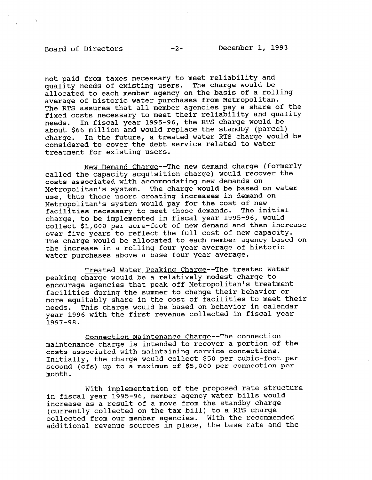# Board of Directors -2- December 1, 1993

not paid from taxes necessary to meet reliability and quality needs of existing users. The charge would be allocated to each member agency on the basis of a rolling average of historic water purchases from Metropolitan. The RTS assures that all member agencies pay a share of the fixed costs necessary to meet their reliability and quality needs. In fiscal year 1995-96, the RTS charge would be about \$66 million and would replace the standby (parcel) charge. In the future, a treated water RTS charge would be considered to cover the debt service related to water treatment for existing users.

New Demand Charge--The new demand charge (formerly called the capacity acquisition charge) would recover the costs associated with accommodating new demands on Metropolitan's system. The charge would be based on water use, thus those users creating increases in demand on Metropolitan's system would pay for the cost of new<br>facilities necessary to meet those demands. The initial facilities necessary to meet those demands. charge, to be implemented in fiscal year 1995-96, would collect \$1,000 per acre-foot of new demand and then increase over five years to reflect the full cost of new capacity. The charge would be allocated to each member agency based on the increase in a rolling four year average of historic water purchases above a base four year average.

Treated Water Peaking Charge--The treated water peaking charge would be a relatively modest charge to encourage agencies that peak off Metropolitan's treatment facilities during the summer to change their behavior or more equitably share in the cost of facilities to meet their needs. This charge would be based on behavior in calendar year 1996 with the first revenue collected in fiscal year 1997-98.

Connection Maintenance Charqe--The connection maintenance charge is intended to recover a portion of the costs associated with maintaining service connections. Initially, the charge would collect \$50 per cubic-foot per second (cfs) up to a maximum of \$5,000 per connection per month.

With implementation of the proposed rate structure in fiscal year 1995-96, member agency water bills would increase as a result of a move from the standby charge (currently collected on the tax bill) to a RTS charge collected from our member agencies. With the recommended additional revenue sources in place, the base rate and the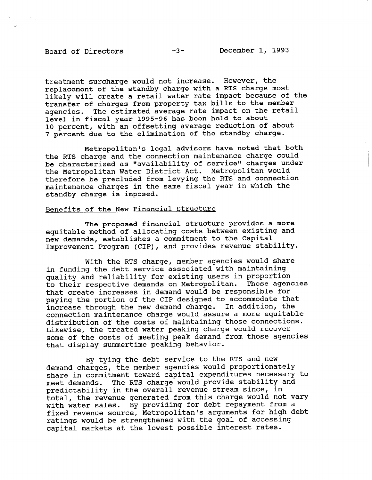treatment surcharge would not increase. However, the replacement of the standby charge with a RTS charge most likely will create a retail water rate impact because of the transfer of charges from property tax bills to the member agencies. The estimated average rate impact on the retail level in fiscal year 1995-96 has been held to about 10 percent, with an offsetting average reduction of about 7 percent due to the elimination of the standby charge.

Metropolitan's legal advisors have noted that both the RTS charge and the connection maintenance charge could be characterized as "availability of service" charges under the Metropolitan Water District Act. Metropolitan would therefore be precluded from levying the RTS and connection maintenance charges in the same fiscal year in which the standby charge is imposed.

# Benefits of the New Financial Structure

The proposed financial structure provides a more equitable method of allocating costs between existing and new demands, establishes a commitment to the Capital Improvement Program (CIP), and provides revenue stability.

With the RTS charge, member agencies would share with the RIS Charge, member agencies would in funding the debt service associated with maintaining quality and reliability for existing users in proportion. to their respective demands on Metropolitan. Those agencies that create increases in demand would be responsible for paying the portion of the CIP designed to accommodate that increase through the new demand charge. In addition, the connection maintenance charge would assure a more equitable distribution of the costs of maintaining those connections. Likewise, the treated water peaking charge would recover some of the costs of meeting peak demand from those agencies<br>that display summertime peaking behavior.

By tying the debt service to the RTS and new demand charges, the member agencies would proportionately share in commitment toward capital expenditures necessary to meet demands. The RTS charge would provide stability and predictability in the overall revenue stream since, in total, the revenue generated from this charge would not vary with water sales. By providing for debt repayment from a fixed revenue source, Metropolitan's arguments for high debt ratings would be strengthened with the goal of accessing capital markets at the lowest possible interest rates.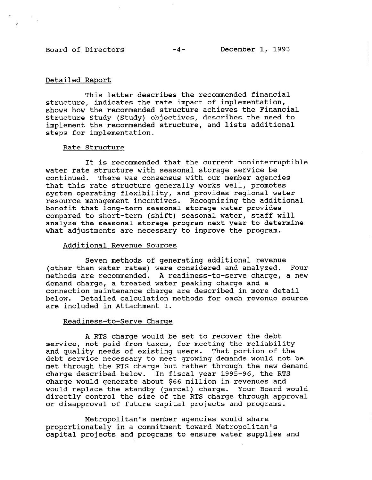# Detailed Report

This letter describes the recommended financial structure, indicates the rate impact of implementation, shows how the recommended structure achieves the Financial Structure Study (Study) objectives, describes the need to implement the recommended structure, and lists additional steps for implementation.

# Rate Structure

It is recommended that the current noninterruptible water rate structure with seasonal storage service be continued. There was consensus with our member agencies that this rate structure generally works well, promotes system operating flexibility, and provides regional water resource management incentives. Recognizing the additional benefit that long-term seasonal storage water provides penerit that fong-term seasonal storage water provides compared to short-term (shift) seasonal water, staff will analyze the seasonal storage program next year to determine what adjustments are necessary to improve the program.

# Additional Revenue Sources

Seven methods of generating additional revenue Seven methods of generating additional revenue (other than water rates) were considered and analyzed. Four methods are recommended. A readiness-to-serve charge, a new demand charge, a treated water peaking charge and a connection maintenance charge are described in more detail<br>below. Detailed calculation methods for each revenue soure below. Detailed calculation methods for each revenue source<br>are included in Attachment 1.

# Readiness-to-Serve Charge

A RTS charge would be set to recover the debt service, not paid from taxes, for meeting the reliability and quality needs of existing users. That portion of the debt service necessary to meet growing demands would not be met through the RTS charge but rather through the new demand charge described below. In fiscal year 1995-96, the RTS charge would generate about \$66 million in revenues and would replace the standby (parcel) charge. Your Board would directly control the size of the RTS charge through approval Metropolitan's member agencies would share

Metropolitan's member agencies would share proportionately in a commitment toward Metropolitan's capital projects and programs to ensure water supplies and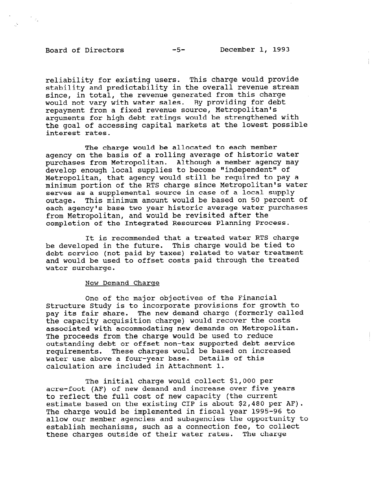$\mathcal{F}_{\mathcal{F}_{\mathbf{a}}}$ 

reliability for existing users. This charge would provide stability and predictability in the overall revenue stream since, in total, the revenue generated from this charge would not vary with water sales. By providing for debt repayment from a fixed revenue source, Metropolitan's arguments for high debt ratings would be strengthened with the goal of accessing capital markets at the lowest possible interest rates.

The charge would be allocated to each member agency on the basis of a rolling average of historic water purchases from Metropolitan. Although a member agency may develop enough local supplies to become "independent" of Metropolitan, that agency would still be required to pay a minimum portion of the RTS charge since Metropolitan's water serves as a supplemental source in case of a local supply outage. This minimum amount would be based on 50 percent of each agency's base two year historic average water purchases from Metropolitan, and would be revisited after the completion of the Integrated Resources Planning Process.

It is recommended that a treated water RTS charge be developed in the future would be tied to develop the function of the function of the function of the function of the function of the function of the function of the function of the function of the function of the functi be developed in the future. This charge would be tied to debt service (not paid by taxes) related to water treatment and would be used to offset costs paid through the treated water surcharge.

#### New Demand Charge

One of the major objectives of the Financial One of the major objectives of the financial Structure Study is to incorporate provisions for growth to pay its fair share. The new demand charge (formerly called the capacity acquisition charge) would recover the costs associated with accommodating new demands on Metropolitan. The proceeds from the charge would be used to reduce outstanding debt or offset non-tax supported debt service requirements. These charges would be based on increased water use above a four-year base. Details of this calculation are included in Attachment 1.

The initial charge would collect \$1,000 per acre-foot (AF) of new demand and increase over five years to reflect the full cost of new capacity (the current estimate based on the existing CIP is about  $$2,480$  per AF). The charge would be implemented in fiscal year 1995-96 to allow our member agencies and subagencies the opportunity to establish mechanisms, such as a connection fee, to collect these charges outside of their water rates. The charge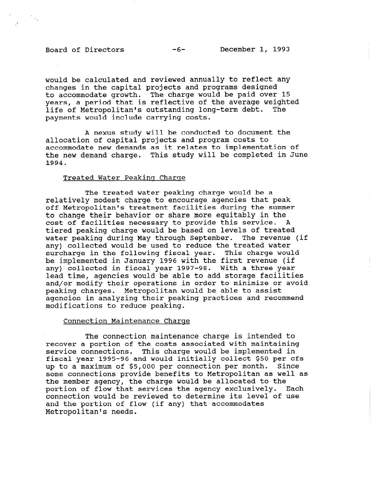# Board of Directors -6- December 1, 1993

 $\frac{1}{2}$ 

would be calculated and reviewed annually to reflect any changes in the capital projects and programs designed to accommodate growth. The charge would be paid over 15 years, a period that is reflective of the average weighted life of Metropolitan's outstanding long-term debt. The payments would include carrying costs.

A nexus study will be conducted to document the allocation of capital projects and program costs to accommodate new demands as it relates to implementation of the new demand charge. This study will be completed in June 1994.

### Treated Water Peaking Charge

The treated water peaking charge would be a relatively modest charge to encourage agencies that peak off Metropolitan's treatment facilities during the summer to change their behavior or share more equitably in the co change their behavior or share more equitably in the cost of facilities necessary to provide this service. A tiered peaking charge would be based on levels of treated water peaking during May through September. The revenue (if any) collected would be used to reduce the treated water. surcharge in the following fiscal year. This charge would be implemented in January 1996 with the first revenue (if any) collected in fiscal year 1997-98. With a three year lead time, agencies would be able to add storage facilities and/or modify their operations in order to minimize or avoid peaking charges. Metropolitan would be able to assist agencies in analyzing their peaking practices and recommend modifications to reduce peaking.

The connection maintenance charge is intended to recover a portion of the costs associated with maintaining service connections. This charge would be implemented in fiscal year 1995-96 and would initially collect \$50 per cfs up to a maximum of \$5,000 per connection per month. Since some connections provide benefits to Metropolitan as well as the member agency, the charge would be allocated to the portion of flow that services the agency exclusively. Each connection would be reviewed to determine its level of use and the portion of flow (if any) that accommodates Metropolitan's needs.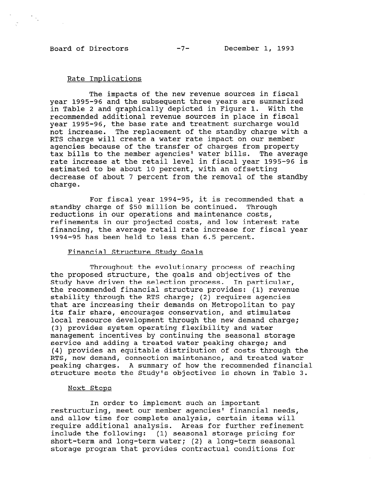# Rate Implications

The impacts of the new revenue sources in fiscal year 1995-96 and the subsequent three years are summarized in Table 2 and graphically depicted in Figure 1. With the recommended additional revenue sources in place in fiscal year 1995-96, the base rate and treatment surcharge would not increase. The replacement of the standby charge with a RTS charge will create a water rate impact on our member agencies because of the transfer of charges from property tax bills to the member agencies' water bills. The average rate increase at the retail level in fiscal year 1995-96 is estimated to be about 10 percent, with an offsetting decrease of about 7 percent from the removal of the standby charge.

For fiscal year 1994-95, it is recommended that a ror fiscal year 1994-95, it is recommended.<br>Through charge of \$50 million be continued. Through reductions in our operations and maintenance costs, requestions in our operations and maintenance costs, refinements in our projected costs, and low interest rate financing, the average retail rate increase for fiscal year<br>1994-95 has been held to less than 6.5 percent.

# Financial Structure Study Goals

 $T$  throughout the evolutionary process of reaching  $\mathcal{L}$ the evolutionary process of reaching the goals and objective structures and objective  $\alpha$ the proposed structure, the goals and objectives of the study have driven the selection process. In particular, the recommended financial structure provides: (1) revenue stability through the RTS charge; (2) requires agencies that are increasing their demands on Metropolitan to pay its fair share, encourages conservation, and stimulates local resource development through the new demand charge; (3) provides system operating flexibility and water management incentives by continuing the seasonal storage service and adding a treated water peaking charge; and  $(4)$  provides an equitable distribution of costs through the RTS, new demand, connection maintenance, and treated water peaking charges. A summary of how the recommended financial structure meets the Study's objectives is shown in Table 3.

### Next Steps In order to implement such an important

In order to implement such an important restructuring, meet our member agencies' financial needs, and allow time for complete analysis, certain items will require additional analysis. Areas for further refinement include the following: (1) seasonal storage pricing for short-term and long-term water; (2) a long-term seasonal storage program that provides contractual conditions for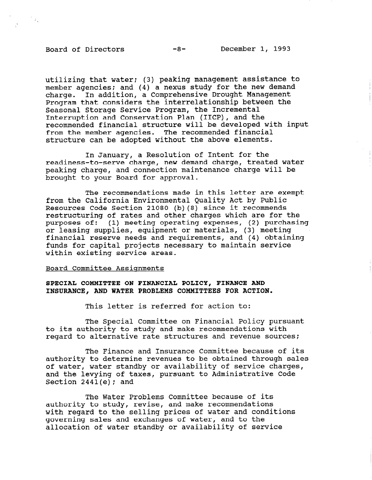$\frac{1}{\sqrt{2}}\frac{1}{\sqrt{2}}$ 

utilizing that water; (3) peaking management assistance to member agencies; and (4) a nexus study for the new demand charge. In addition, a Comprehensive Drought Management Program that considers the interrelationship between the Seasonal Storage Service Program, the Incremental Interruption and Conservation Plan (IICP), and the recommended financial structure will be developed with input from the member agencies. The recommended financial structure can be adopted without the above elements.

In January, a Resolution of Intent for the readiness-to-serve charge, new demand charge, treated water peaking charge, and connection maintenance charge will be brought to your Board for approval.

The recommendations made in this letter are exempt from the California Environmental Quality Act by Public Resources Code Section 21080 (b)(8) since it recommends restructuring of rates and other charges which are for the purposes of the same other charges which are for the purposes or: (1) meeting operating expenses, (2) purch or leasing supplies, equipment or materials, (3) meeting fundicial reserve needs and requirements, and (4) obta. funds for capital projects necessary to maintain service within existing service areas.

#### Board Committee Assignments

# SPECIAL COMMITTEE ON FINANCIAL POLICY, FINANCE AND

This letter is referred for action to:

The Special Committee on Financial Policy pur to its authority to study and make recommendations with<br>regard to alternative rate structures and revenue sources;

The Special Committee on  $\mathbb{R}^n$  pursuant  $\mathbb{R}^n$  pursuant  $\mathbb{R}^n$  pursuant  $\mathbb{R}^n$ 

The Finance and Insurance Committee because of its authority to determine revenues to be obtained through sales of water, water standby or availability of service charges, and the levying of taxes, pursuant to Administrative Code Section  $2441(e)$ ; and

The Water Problems Committee because of its authority to study, revise, and make recommendations with regard to the selling prices of water and conditions governing sales and exchanges of water, and to the allocation of water standby or availability of service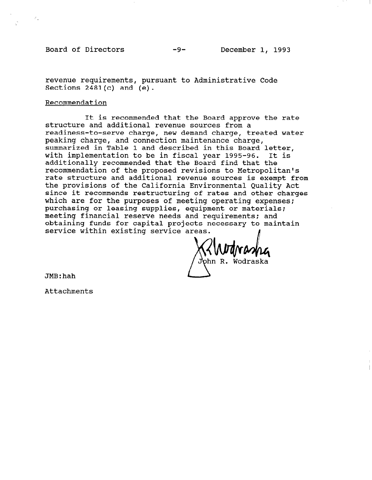Board of Directors -9- December 1, 1993

 $\mathcal{E}_\infty$ 

revenue requirements, pursuant to Administrative Code Sections  $2481(c)$  and  $(e)$ .

### Recommendation

It is recommended that the Board approve the rate structure and additional revenue sources from a readiness-to-serve charge, new demand charge, treated water peaking charge, and connection maintenance charge, summarized in Table 1 and described in this Board letter, with implementation to be in fiscal year 1995-96. It is additionally recommended that the Board find that the recommendation of the proposed revisions to Metropolitan's rate structure and additional revenue sources is exempt from the provisions of the California Environmental Quality Act since it recommends restructuring of rates and other charges which are for the purposes of meeting operating expenses; which are for the purposes of meeting operating experiences purchasing of leasing supplies, equipment of material meeting financial reserve needs and requirements; and<br>obtaining funds for capital projects necessary to maintain service within existing service areas.

ohn R. Wodraska

JMB:hah

Attachments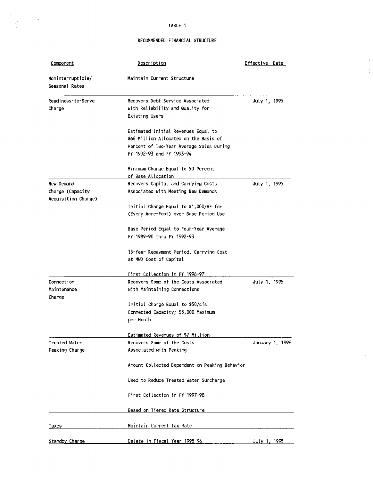TABLE 1

### RECOMMENDED FINANCIAL STRUCTURE

 $\hat{\mathbf{r}}$  $\frac{1}{2}$ 

 $\omega$ 

| Component                                             | Description                                                                                                                                            | Effective Date  |
|-------------------------------------------------------|--------------------------------------------------------------------------------------------------------------------------------------------------------|-----------------|
| Noninterruptible/<br>Seasonal Rates                   | Maintain Current Structure                                                                                                                             |                 |
| Readiness-to-Serve<br>Charge                          | Recovers Debt Service Associated<br>with Reliability and Quality for<br><b>Existing Users</b>                                                          | July 1, 1995    |
|                                                       | Estimated Initial Revenues Equal to<br>\$66 Million Allocated on the Basis of<br>Percent of Two-Year Average Sales During<br>FY 1992-93 and FY 1993-94 |                 |
|                                                       | Minimum Charge Equal to 50 Percent<br>of Base Allocation                                                                                               |                 |
| New Demand<br>Charge (Capacity<br>Acquisition Charge) | Recovers Capital and Carrying Costs<br>Associated with Meeting New Demands                                                                             | July 1, 1995    |
|                                                       | Initial Charge Equal to \$1,000/AF for<br>(Every Acre-Foot) over Base Period Use                                                                       |                 |
|                                                       | Base Period Equal to Four-Year Average<br>FY 1989-90 thru FY 1992-93                                                                                   |                 |
|                                                       | 15-Year Repayment Period, Carrying Cost<br>at MWD Cost of Capital                                                                                      |                 |
|                                                       | First Collection in FY 1996-97                                                                                                                         |                 |
| Connection<br>Maintenance<br>Charge                   | Recovers Some of the Costs Associated<br>with Maintaining Connections                                                                                  | July 1, 1995    |
|                                                       | Initial Charge Equal to \$50/cfs<br>Connected Capacity; \$5,000 Maximum<br>per Month                                                                   |                 |
|                                                       | Estimated Revenues of \$7 Million                                                                                                                      |                 |
| Treated Water<br>Peaking Charge                       | Recovers Some of the Costs<br>Associated with Peaking                                                                                                  | January 1, 1996 |
|                                                       | Amount Collected Dependent on Peaking Behavior                                                                                                         |                 |
|                                                       | Used to Reduce Treated Water Surcharge                                                                                                                 |                 |
|                                                       | First Collection in FY 1997-98                                                                                                                         |                 |
|                                                       | Based on Tiered Rate Structure                                                                                                                         |                 |
| <u>Taxes</u>                                          | Maintain Current Tax Rate                                                                                                                              |                 |
| Standby Charge                                        | Delete in Fiscal Year 1995-96                                                                                                                          | July 1, 1995    |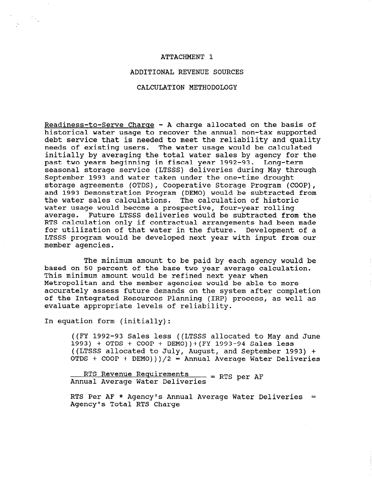### ATTACHMENT 1

## ADDITIONAL REVENUE SOURCES

#### CALCULATION METHODOLOGY

Readiness-to-Serve Charge - A charge allocated on the basis of historical water usage to recover the annual non-tax supported debt service that is needed to meet the reliability and quality needs of existing users. The water usage would be calculated initially by averaging the total water sales by agency for the past two years beginning in fiscal year 1992-93. Long-term seasonal storage service (LTSSS) deliveries during May through September 1993 and water taken under the one-time drought storage agreements (OTDS), Cooperative Storage Program (COOP), and 1993 Demonstration Program (DEMO) would be subtracted from the water sales calculations. The calculation of historic water sales calculations. The calculation of filst water usage would become a prospective, four-year roffing.<br>---------- Puture IF888 deliveries would be subtracted from the dverage. Future hisss deliveries would be subtracted from the<br>President had been made been made been made been made been made. kis calculation only il contractual arrangements had been made. LOL UCIIIZACION OI CHAC WATER IN THE IUTURE. DEVELOPMENT OI A LTSSS program would be developed next year with input from our member agencies.

 $T$  minimum amount to be paid by each another paid by each agency would be paid by each agency would be paid by parameter on 50 percent on 50 percent of the base two years the base two years the base two years the base of t based on 50 percent of the base two year average calculation. This minimum amount would be refined next year when Metropolitan and the member agencies would be able to more accurately assess future demands on the system after completion of the Integrated Resources Planning (IRP) process, as well as evaluate appropriate levels of reliability.

 $\frac{1}{2}$  ,  $\frac{1}{2}$ 

((FY 1992-93 Sales less ((LTSSS allocated to May and June  $(1993)$  + OTDS + COOP + DEMO)) + (FY 1993-94 Sales less ((LTSSS allocated to July, August, and September 1993) + OTDS +  $COOP$  +  $DEMO$ ) )  $/2$  = Annual Average Water Deliveries

RTS Revenue Requirements - - PTS per AF Annual Average Water Deliveries

RTS Per AF \* Agency's Annual Average Water Deliveries = Agency's Total RTS Charge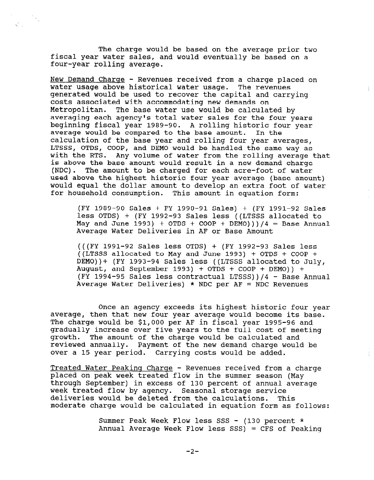The charge would be based on the average prior two fiscal year water sales, and would eventually be based on a four-year rolling average.

 $\frac{1}{\sqrt{2}}\frac{1}{\alpha}$ 

 $\mathcal{L}^{\mathcal{L}}(\mathcal{L})$ 

New Demand Charge - Revenues received from a charge placed on water usage above historical water usage. The revenues generated would be used to recover the capital and carrying costs associated with accommodating new demands on Metropolitan. The base water use would be calculated by averaging each agency's total water sales for the four years beginning fiscal year 1989-90. A rolling historic four year average would be compared to the base amount. In the calculation of the base year and rolling four year averages, LTSSS, OTDS, COOP, and DEMO would be handled the same way as with the RTS. Any volume of water from the rolling average that is above the base amount would result in a new demand charge (NDC). The amount to be charged for each acre-foot of water used above the highest historic four year average (base amount) would equal the dollar amount to develop an extra foot of water for household consumption. This amount in equation form:

(FY 1989-90 Sales + FY 1990-91 Sales) + (FY 1991-92 Sales less OTDS) + (FY 1990-93 Sales) + (f1 1991-92 Sale)<br>less OTDS) + (FY 1999-93 Sales less ((LTSSS allocated t May and June 1992-93 Sales 1995 ((LISS allocated to May and June 1993) + OTDS + COOP + DEMO)))/4 = Base Annual<br>Average Water Deliveries in AF or Base Amount

 $\left(\frac{1}{2}, \frac{1}{2}, \frac{1}{2}, \frac{1}{2}, \frac{1}{2}, \frac{1}{2}, \frac{1}{2}, \frac{1}{2}, \frac{1}{2}, \frac{1}{2}, \frac{1}{2}, \frac{1}{2}, \frac{1}{2}, \frac{1}{2}, \frac{1}{2}, \frac{1}{2}, \frac{1}{2}, \frac{1}{2}, \frac{1}{2}, \frac{1}{2}, \frac{1}{2}, \frac{1}{2}, \frac{1}{2}, \frac{1}{2}, \frac{1}{2}, \frac{1}{2}, \frac{1}{2}, \frac{1}{2}, \frac{1}{2}, \frac{1}{2}, \frac{1}{2}, \$ (((FT 1991-92 Sales less OTDS) + (FT 1992-93 Sales less)<br>Connections ((LTSSS allocated to May and June 1993) + OTDS + COOP + DEMO)) + (FY 1993-94 Sales less ((LTSSS allocated to July, August, and September 1993) + OTDS + COOP + DEMO)) + (FY 1994-95 Sales less contractual LTSSS))/4 - Base Annual<br>Average Water Deliveries) \* NDC per AF = NDC Revenues

 $\mathcal{O}(\mathcal{O})$  and agency exceeds its highest highest highest highest highest highest highest highest highest highest highest highest highest highest highest highest highest highest highest highest highest highest highest Once an agency exceeds its highest historic four year average, then that new four year average would become its base. The charge would be \$1,000 per AF in fiscal year 1995-96 and gradually increase over five years to the full cost of meeting growth. The amount of the charge would be calculated and The amount of the charge would be calculated and reviewed annually. Payment of the new demand charge would be over a 15 year period. Carrying costs would be added.

Treated Water Peaking Charge - Revenues received from a charge placed on peak week treated flow in the summer season (May through September) in excess of 130 percent of annual average week treated flow by agency. Seasonal storage service deliveries would be deleted from the calculations. This moderate charge would be calculated in equation form as follows:

> Summer Peak Week Flow less SSS - (130 percent  $*$ Annual Average Week Flow less SSS) = CFS of Peaking

Summer Peak Week Flow less SSS - (130 percent \*

 $-2-$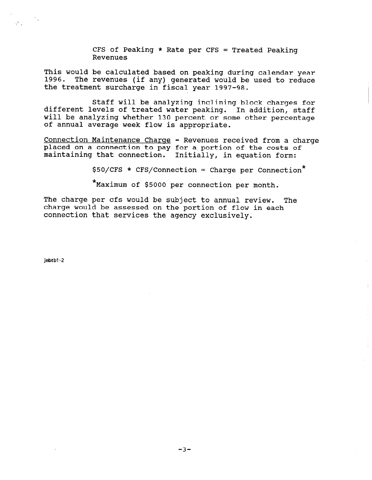CFS of Peaking \* Rate per CFS = Treated Peaking Revenues

This would be calculated based on peaking during calendar year 1996. The revenues (if any) generated would be used to reduce the treatment surcharge in fiscal year 1997-98.

Staff will be analyzing inclining block charges for different levels of treated water peaking. In addition, staff will be analyzing whether 130 percent or some other percentage of annual average week flow is appropriate.

Connection Maintenance Charge - Revenues received from a charge placed on a connection to pay for a portion of the costs of maintaining that connection. Initially, in equation form:

 $$50/CFS * CFS/Connection = Charge per Connection*$ 

\*Maximum of \$5000 per connection per month.

The charge per cfs would be subject to annual review. The charge would be subject to diffusively. charge would be assessed on the portion of flow in each connection that services the agency exclusively.

jmbtbl-2

 $\hat{\zeta}^{\mu}$  .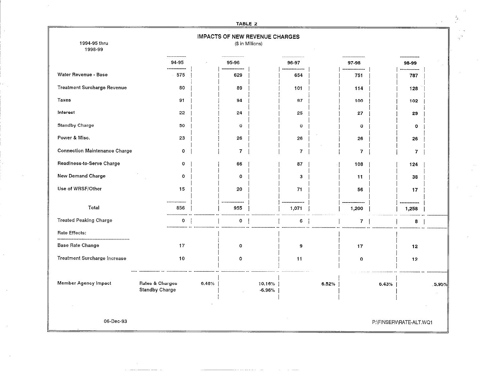|                                      |                                          | TABLE 2               |                                                           |                        |                         |       |
|--------------------------------------|------------------------------------------|-----------------------|-----------------------------------------------------------|------------------------|-------------------------|-------|
| 1994-95 thru<br>1998-99              |                                          |                       | <b>IMPACTS OF NEW REVENUE CHARGES</b><br>(\$ in Millions) |                        |                         |       |
|                                      | 94-95<br>$\frac{1}{2}$                   | 95-96                 | 96-97                                                     | 97-98                  | 98-99                   |       |
| Water Revenue - Base                 | -------<br>575                           | --------------<br>629 | .<br>654                                                  | ---------------<br>751 | ************<br>787     |       |
| Treatment Surcharge Revenue          | 80                                       | 89                    | 101                                                       | 114                    | 128                     |       |
| Taxes                                | 91                                       | 94                    | 97                                                        | 100                    | 102                     |       |
| Interest                             | 22                                       | 24                    | 25                                                        | 27                     | 29                      |       |
| <b>Standby Charge</b>                | 50                                       | 0                     | $\mathbf 0$                                               | $\mathbf 0$            | $\mathbf 0$             |       |
| Power & Misc.                        | 23                                       | 26                    | 26                                                        | 26                     | 26                      |       |
| <b>Connection Maintenance Charge</b> | $\mathbf 0$                              | 7                     | $\overline{7}$                                            | 7                      | 7                       |       |
| Readiness-to-Serve Charge            | $\mathbf 0$                              | 66                    | 87                                                        | 108                    | 124                     |       |
| New Demand Charge                    | $\mathbf 0$                              | $\mathbf{o}$          | $\mathbf{3}$                                              | 11                     | 38                      |       |
| Use of WRSF/Other                    | 15                                       | 20                    | 71                                                        | 56                     | 17                      |       |
| Total                                | ----<br>856                              | 955                   | ------<br>1,071                                           | 1,200                  | ------<br>1,258         |       |
| <b>Treated Peaking Charge</b>        | $\mathbf 0$                              | $\mathbf 0$           | 6                                                         | $\mathbf{7}$           | 8                       |       |
| <b>Rate Effects:</b>                 |                                          |                       |                                                           |                        |                         |       |
| <b>Base Rate Change</b>              | 17                                       | $\mathbf 0$           | 9                                                         | 17                     | 12 <sub>2</sub>         |       |
| Treatment Surcharge Increase         | 10                                       | 0                     | 11                                                        | $\mathbf{o}$           | 12                      |       |
| Member Agency Impact                 | Rates & Charges<br><b>Standby Charge</b> | 6.48%                 | 10.16%<br>$-6.96%$                                        | 6.52%                  | 6.43%                   | 5.95% |
|                                      |                                          |                       |                                                           |                        |                         |       |
| 06-Dec-93                            |                                          |                       |                                                           |                        | P:\FINSERV\RATE-ALT.WQ1 |       |

 $\sim 10^{-1}$ 

÷,

 $\hat{\mathcal{E}}$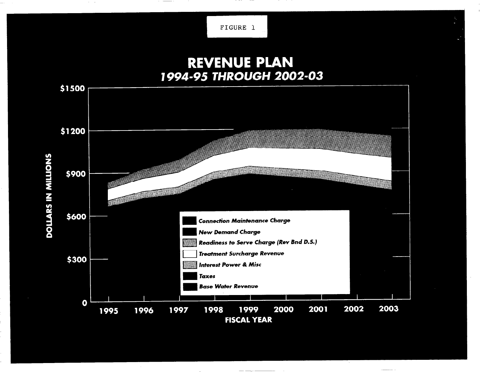FIGURE 1

# **REVENUE PLAN** 1994-95 THROUGH 2002-03